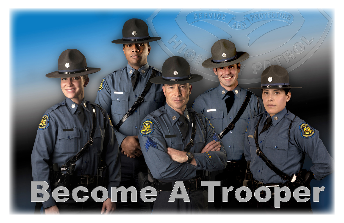